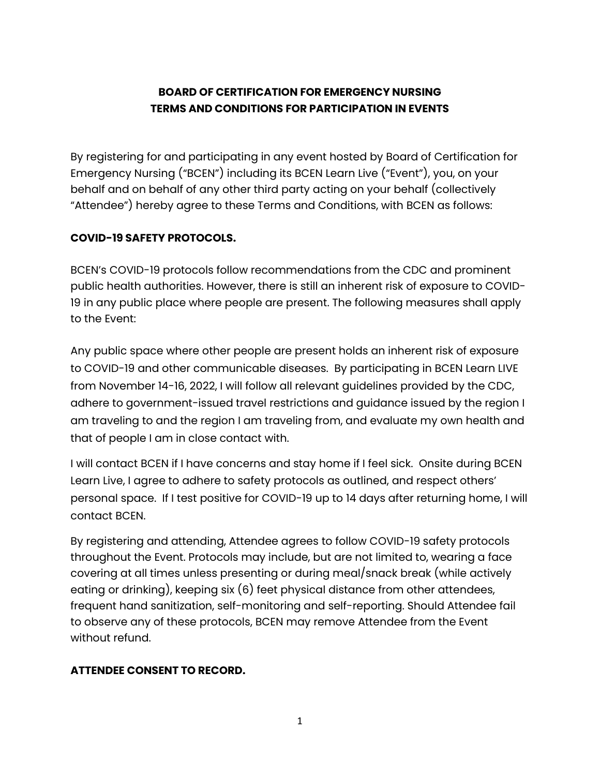# **BOARD OF CERTIFICATION FOR EMERGENCY NURSING TERMS AND CONDITIONS FOR PARTICIPATION IN EVENTS**

By registering for and participating in any event hosted by Board of Certification for Emergency Nursing ("BCEN") including its BCEN Learn Live ("Event"), you, on your behalf and on behalf of any other third party acting on your behalf (collectively "Attendee") hereby agree to these Terms and Conditions, with BCEN as follows:

# **COVID-19 SAFETY PROTOCOLS.**

BCEN's COVID-19 protocols follow recommendations from the CDC and prominent public health authorities. However, there is still an inherent risk of exposure to COVID-19 in any public place where people are present. The following measures shall apply to the Event:

Any public space where other people are present holds an inherent risk of exposure to COVID-19 and other communicable diseases. By participating in BCEN Learn LIVE from November 14-16, 2022, I will follow all relevant guidelines provided by the CDC, adhere to government-issued travel restrictions and guidance issued by the region I am traveling to and the region I am traveling from, and evaluate my own health and that of people I am in close contact with.

I will contact BCEN if I have concerns and stay home if I feel sick. Onsite during BCEN Learn Live, I agree to adhere to safety protocols as outlined, and respect others' personal space. If I test positive for COVID-19 up to 14 days after returning home, I will contact BCEN.

By registering and attending, Attendee agrees to follow COVID-19 safety protocols throughout the Event. Protocols may include, but are not limited to, wearing a face covering at all times unless presenting or during meal/snack break (while actively eating or drinking), keeping six (6) feet physical distance from other attendees, frequent hand sanitization, self-monitoring and self-reporting. Should Attendee fail to observe any of these protocols, BCEN may remove Attendee from the Event without refund.

# **ATTENDEE CONSENT TO RECORD.**

1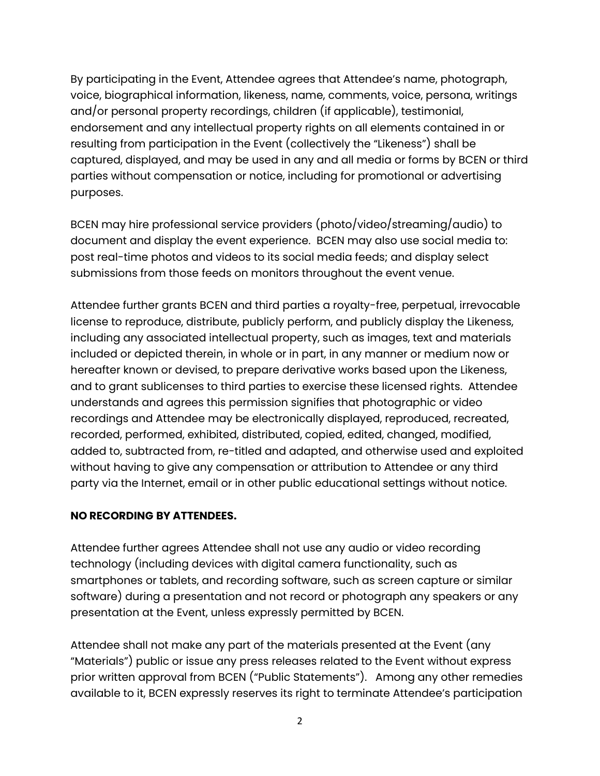By participating in the Event, Attendee agrees that Attendee's name, photograph, voice, biographical information, likeness, name, comments, voice, persona, writings and/or personal property recordings, children (if applicable), testimonial, endorsement and any intellectual property rights on all elements contained in or resulting from participation in the Event (collectively the "Likeness") shall be captured, displayed, and may be used in any and all media or forms by BCEN or third parties without compensation or notice, including for promotional or advertising purposes.

BCEN may hire professional service providers (photo/video/streaming/audio) to document and display the event experience. BCEN may also use social media to: post real-time photos and videos to its social media feeds; and display select submissions from those feeds on monitors throughout the event venue.

Attendee further grants BCEN and third parties a royalty-free, perpetual, irrevocable license to reproduce, distribute, publicly perform, and publicly display the Likeness, including any associated intellectual property, such as images, text and materials included or depicted therein, in whole or in part, in any manner or medium now or hereafter known or devised, to prepare derivative works based upon the Likeness, and to grant sublicenses to third parties to exercise these licensed rights. Attendee understands and agrees this permission signifies that photographic or video recordings and Attendee may be electronically displayed, reproduced, recreated, recorded, performed, exhibited, distributed, copied, edited, changed, modified, added to, subtracted from, re-titled and adapted, and otherwise used and exploited without having to give any compensation or attribution to Attendee or any third party via the Internet, email or in other public educational settings without notice.

# **NO RECORDING BY ATTENDEES.**

Attendee further agrees Attendee shall not use any audio or video recording technology (including devices with digital camera functionality, such as smartphones or tablets, and recording software, such as screen capture or similar software) during a presentation and not record or photograph any speakers or any presentation at the Event, unless expressly permitted by BCEN.

Attendee shall not make any part of the materials presented at the Event (any "Materials") public or issue any press releases related to the Event without express prior written approval from BCEN ("Public Statements"). Among any other remedies available to it, BCEN expressly reserves its right to terminate Attendee's participation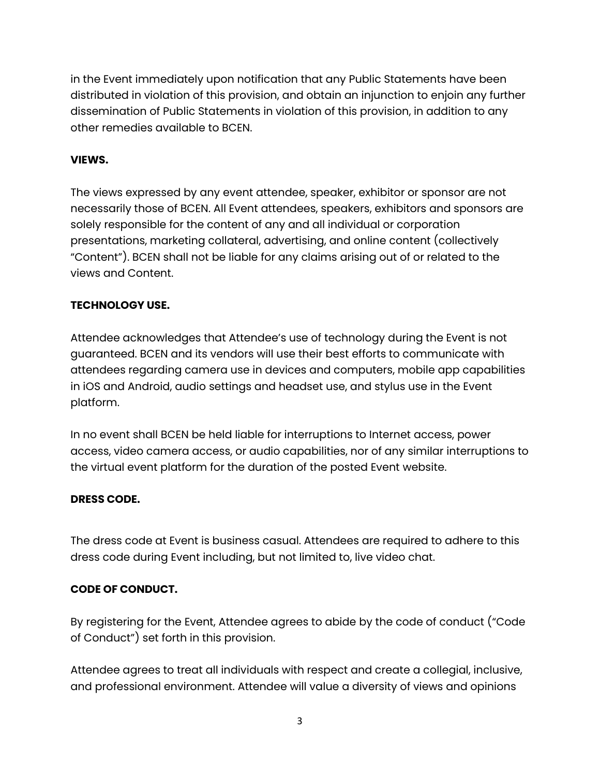in the Event immediately upon notification that any Public Statements have been distributed in violation of this provision, and obtain an injunction to enjoin any further dissemination of Public Statements in violation of this provision, in addition to any other remedies available to BCEN.

#### **VIEWS.**

The views expressed by any event attendee, speaker, exhibitor or sponsor are not necessarily those of BCEN. All Event attendees, speakers, exhibitors and sponsors are solely responsible for the content of any and all individual or corporation presentations, marketing collateral, advertising, and online content (collectively "Content"). BCEN shall not be liable for any claims arising out of or related to the views and Content.

### **TECHNOLOGY USE.**

Attendee acknowledges that Attendee's use of technology during the Event is not guaranteed. BCEN and its vendors will use their best efforts to communicate with attendees regarding camera use in devices and computers, mobile app capabilities in iOS and Android, audio settings and headset use, and stylus use in the Event platform.

In no event shall BCEN be held liable for interruptions to Internet access, power access, video camera access, or audio capabilities, nor of any similar interruptions to the virtual event platform for the duration of the posted Event website.

#### **DRESS CODE.**

The dress code at Event is business casual. Attendees are required to adhere to this dress code during Event including, but not limited to, live video chat.

#### **CODE OF CONDUCT.**

By registering for the Event, Attendee agrees to abide by the code of conduct ("Code of Conduct") set forth in this provision.

Attendee agrees to treat all individuals with respect and create a collegial, inclusive, and professional environment. Attendee will value a diversity of views and opinions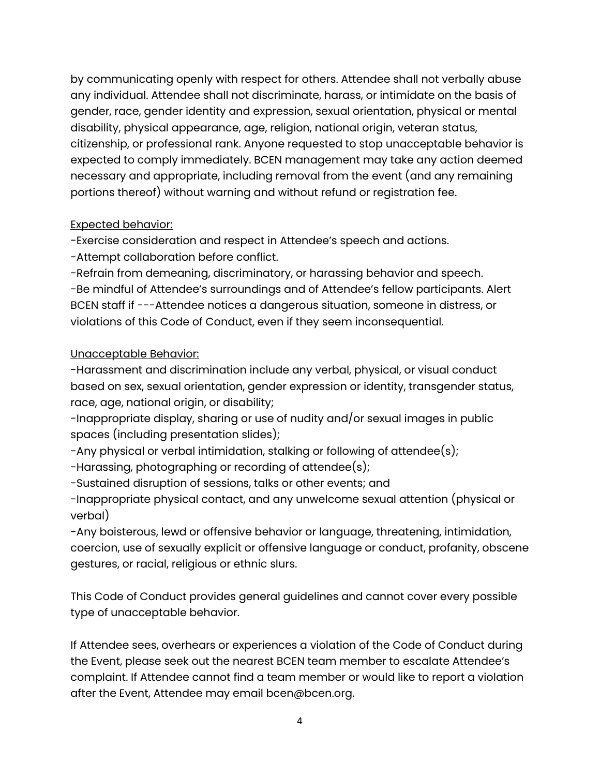by communicating openly with respect for others. Attendee shall not verbally abuse any individual. Attendee shall not discriminate, harass, or intimidate on the basis of gender, race, gender identity and expression, sexual orientation, physical or mental disability, physical appearance, age, religion, national origin, veteran status, citizenship, or professional rank. Anyone requested to stop unacceptable behavior is expected to comply immediately. BCEN management may take any action deemed necessary and appropriate, including removal from the event (and any remaining portions thereof) without warning and without refund or registration fee.

# Expected behavior:

-Exercise consideration and respect in Attendee's speech and actions.

-Attempt collaboration before conflict.

-Refrain from demeaning, discriminatory, or harassing behavior and speech. -Be mindful of Attendee's surroundings and of Attendee's fellow participants. Alert BCEN staff if ---Attendee notices a dangerous situation, someone in distress, or violations of this Code of Conduct, even if they seem inconsequential.

# Unacceptable Behavior:

-Harassment and discrimination include any verbal, physical, or visual conduct based on sex, sexual orientation, gender expression or identity, transgender status, race, age, national origin, or disability;

-Inappropriate display, sharing or use of nudity and/or sexual images in public spaces (including presentation slides);

-Any physical or verbal intimidation, stalking or following of attendee(s);

-Harassing, photographing or recording of attendee(s);

-Sustained disruption of sessions, talks or other events; and

-Inappropriate physical contact, and any unwelcome sexual attention (physical or verbal)

-Any boisterous, lewd or offensive behavior or language, threatening, intimidation, coercion, use of sexually explicit or offensive language or conduct, profanity, obscene gestures, or racial, religious or ethnic slurs.

This Code of Conduct provides general guidelines and cannot cover every possible type of unacceptable behavior.

If Attendee sees, overhears or experiences a violation of the Code of Conduct during the Event, please seek out the nearest BCEN team member to escalate Attendee's complaint. If Attendee cannot find a team member or would like to report a violation after the Event, Attendee may email bcen@bcen.org.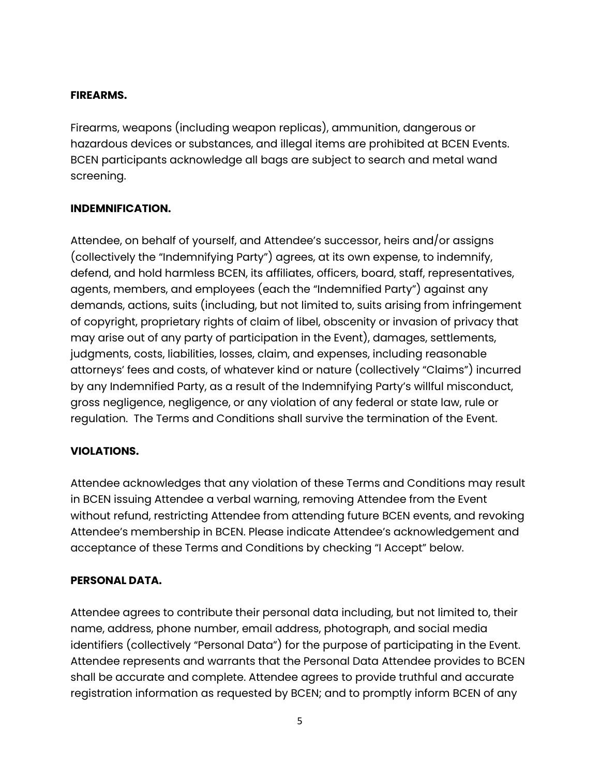### **FIREARMS.**

Firearms, weapons (including weapon replicas), ammunition, dangerous or hazardous devices or substances, and illegal items are prohibited at BCEN Events. BCEN participants acknowledge all bags are subject to search and metal wand screening.

### **INDEMNIFICATION.**

Attendee, on behalf of yourself, and Attendee's successor, heirs and/or assigns (collectively the "Indemnifying Party") agrees, at its own expense, to indemnify, defend, and hold harmless BCEN, its affiliates, officers, board, staff, representatives, agents, members, and employees (each the "Indemnified Party") against any demands, actions, suits (including, but not limited to, suits arising from infringement of copyright, proprietary rights of claim of libel, obscenity or invasion of privacy that may arise out of any party of participation in the Event), damages, settlements, judgments, costs, liabilities, losses, claim, and expenses, including reasonable attorneys' fees and costs, of whatever kind or nature (collectively "Claims") incurred by any Indemnified Party, as a result of the Indemnifying Party's willful misconduct, gross negligence, negligence, or any violation of any federal or state law, rule or regulation. The Terms and Conditions shall survive the termination of the Event.

# **VIOLATIONS.**

Attendee acknowledges that any violation of these Terms and Conditions may result in BCEN issuing Attendee a verbal warning, removing Attendee from the Event without refund, restricting Attendee from attending future BCEN events, and revoking Attendee's membership in BCEN. Please indicate Attendee's acknowledgement and acceptance of these Terms and Conditions by checking "I Accept" below.

#### **PERSONAL DATA.**

Attendee agrees to contribute their personal data including, but not limited to, their name, address, phone number, email address, photograph, and social media identifiers (collectively "Personal Data") for the purpose of participating in the Event. Attendee represents and warrants that the Personal Data Attendee provides to BCEN shall be accurate and complete. Attendee agrees to provide truthful and accurate registration information as requested by BCEN; and to promptly inform BCEN of any